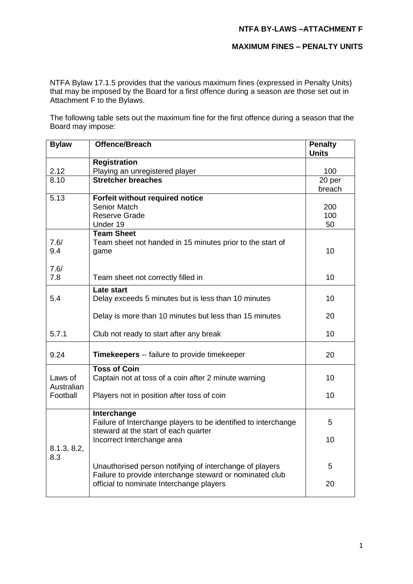### **NTFA BY-LAWS –ATTACHMENT F**

### **MAXIMUM FINES – PENALTY UNITS**

NTFA Bylaw 17.1.5 provides that the various maximum fines (expressed in Penalty Units) that may be imposed by the Board for a first offence during a season are those set out in Attachment F to the Bylaws.

The following table sets out the maximum fine for the first offence during a season that the Board may impose:

| <b>Bylaw</b>          | <b>Offence/Breach</b>                                                         | <b>Penalty</b><br><b>Units</b> |
|-----------------------|-------------------------------------------------------------------------------|--------------------------------|
|                       | <b>Registration</b>                                                           |                                |
| 2.12                  | Playing an unregistered player                                                | 100                            |
| 8.10                  | <b>Stretcher breaches</b>                                                     | $\overline{20}$ per            |
|                       |                                                                               | breach                         |
| 5.13                  | Forfeit without required notice<br><b>Senior Match</b>                        |                                |
|                       | <b>Reserve Grade</b>                                                          | 200<br>100                     |
|                       | Under 19                                                                      | 50                             |
|                       | <b>Team Sheet</b>                                                             |                                |
| 7.6/                  | Team sheet not handed in 15 minutes prior to the start of                     |                                |
| 9.4                   | game                                                                          | 10                             |
|                       |                                                                               |                                |
| 7.6/                  |                                                                               |                                |
| 7.8                   | Team sheet not correctly filled in                                            | 10                             |
|                       | <b>Late start</b>                                                             |                                |
| 5.4                   | Delay exceeds 5 minutes but is less than 10 minutes                           | 10                             |
|                       | Delay is more than 10 minutes but less than 15 minutes                        | 20                             |
| 5.7.1                 | Club not ready to start after any break                                       | 10                             |
| 9.24                  | Timekeepers -- failure to provide timekeeper                                  | 20                             |
|                       | <b>Toss of Coin</b>                                                           | 10                             |
| Laws of<br>Australian | Captain not at toss of a coin after 2 minute warning                          |                                |
| Football              | Players not in position after toss of coin                                    | 10                             |
|                       | Interchange<br>Failure of Interchange players to be identified to interchange | 5                              |
|                       | steward at the start of each quarter                                          |                                |
|                       | Incorrect Interchange area                                                    | 10                             |
| 8.1.3, 8.2,           |                                                                               |                                |
| 8.3                   |                                                                               |                                |
|                       | Unauthorised person notifying of interchange of players                       | 5                              |
|                       | Failure to provide interchange steward or nominated club                      |                                |
|                       | official to nominate Interchange players                                      | 20                             |
|                       |                                                                               |                                |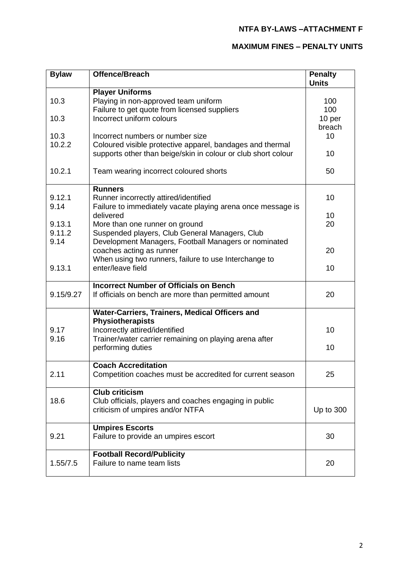# **MAXIMUM FINES – PENALTY UNITS**

| <b>Bylaw</b> | <b>Offence/Breach</b>                                                                                | <b>Penalty</b><br><b>Units</b> |
|--------------|------------------------------------------------------------------------------------------------------|--------------------------------|
|              | <b>Player Uniforms</b>                                                                               |                                |
| 10.3         | Playing in non-approved team uniform                                                                 | 100                            |
|              | Failure to get quote from licensed suppliers                                                         | 100                            |
| 10.3         | Incorrect uniform colours                                                                            | 10 per                         |
|              |                                                                                                      | breach                         |
| 10.3         | Incorrect numbers or number size                                                                     | 10                             |
| 10.2.2       | Coloured visible protective apparel, bandages and thermal                                            |                                |
|              | supports other than beige/skin in colour or club short colour                                        | 10                             |
| 10.2.1       | Team wearing incorrect coloured shorts                                                               | 50                             |
| 9.12.1       | <b>Runners</b>                                                                                       | 10                             |
| 9.14         | Runner incorrectly attired/identified<br>Failure to immediately vacate playing arena once message is |                                |
|              | delivered                                                                                            | 10                             |
| 9.13.1       | More than one runner on ground                                                                       | 20                             |
| 9.11.2       | Suspended players, Club General Managers, Club                                                       |                                |
| 9.14         | Development Managers, Football Managers or nominated                                                 |                                |
|              | coaches acting as runner                                                                             | 20                             |
|              | When using two runners, failure to use Interchange to                                                |                                |
| 9.13.1       | enter/leave field                                                                                    | 10                             |
|              |                                                                                                      |                                |
|              | <b>Incorrect Number of Officials on Bench</b>                                                        |                                |
| 9.15/9.27    | If officials on bench are more than permitted amount                                                 | 20                             |
|              | Water-Carriers, Trainers, Medical Officers and                                                       |                                |
|              | Physiotherapists                                                                                     |                                |
| 9.17         | Incorrectly attired/identified                                                                       | 10                             |
| 9.16         | Trainer/water carrier remaining on playing arena after                                               |                                |
|              | performing duties                                                                                    | 10                             |
|              | <b>Coach Accreditation</b>                                                                           |                                |
| 2.11         | Competition coaches must be accredited for current season                                            | 25                             |
|              | <b>Club criticism</b>                                                                                |                                |
| 18.6         | Club officials, players and coaches engaging in public                                               |                                |
|              | criticism of umpires and/or NTFA                                                                     | Up to 300                      |
|              |                                                                                                      |                                |
|              | <b>Umpires Escorts</b>                                                                               |                                |
| 9.21         | Failure to provide an umpires escort                                                                 | 30                             |
|              |                                                                                                      |                                |
|              | <b>Football Record/Publicity</b>                                                                     |                                |
| 1.55/7.5     | Failure to name team lists                                                                           | 20                             |
|              |                                                                                                      |                                |